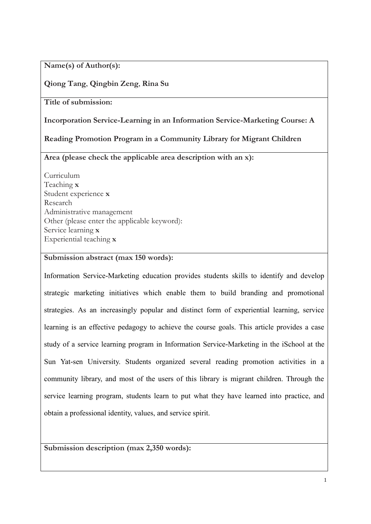**Name(s) of Author(s):**

### **Qiong Tang**, **Qingbin Zeng**, **Rina Su**

**Title of submission:**

**Incorporation Service-Learning in an Information Service-Marketing Course: A** 

**Reading Promotion Program in a Community Library for Migrant Children**

**Area (please check the applicable area description with an x):**

Curriculum Teaching **x** Student experience **x** Research Administrative management Other (please enter the applicable keyword): Service learning **x** Experiential teaching **x**

### **Submission abstract (max 150 words):**

Information Service-Marketing education provides students skills to identify and develop strategic marketing initiatives which enable them to build branding and promotional strategies. As an increasingly popular and distinct form of experiential learning, service learning is an effective pedagogy to achieve the course goals. This article provides a case study of a service learning program in Information Service-Marketing in the iSchool at the Sun Yat-sen University. Students organized several reading promotion activities in a community library, and most of the users of this library is migrant children. Through the service learning program, students learn to put what they have learned into practice, and obtain a professional identity, values, and service spirit.

**Submission description (max 2,350 words):**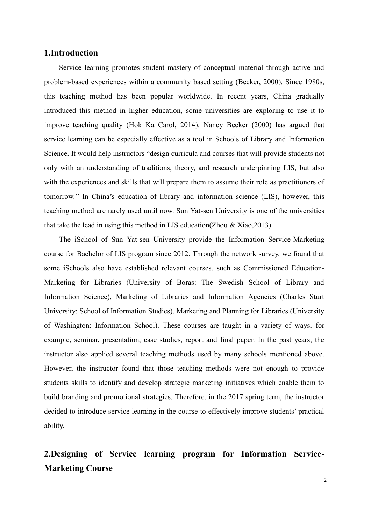### **1.Introduction**

Service learning promotes student mastery of conceptual material through active and problem-based experiences within a community based setting (Becker, 2000). Since 1980s, this teaching method has been popular worldwide. In recent years, China gradually introduced this method in higher education, some universities are exploring to use it to improve teaching quality (Hok Ka Carol, 2014). Nancy Becker (2000) has argued that service learning can be especially effective as a tool in Schools of Library and Information Science. It would help instructors "design curricula and courses that will provide students not only with an understanding of traditions, theory, and research underpinning LIS, but also with the experiences and skills that will prepare them to assume their role as practitioners of tomorrow.'' In China's education of library and information science (LIS), however, this teaching method are rarely used until now. Sun Yat-sen University is one of the universities that take the lead in using this method in LIS education(Zhou & Xiao,2013).

The iSchool of Sun Yat-sen University provide the Information Service-Marketing course for Bachelor of LIS program since 2012. Through the network survey, we found that some iSchools also have established relevant courses, such as Commissioned Education-Marketing for Libraries (University of Boras: The Swedish School of Library and Information Science), Marketing of Libraries and Information Agencies (Charles Sturt University: School of Information Studies), Marketing and Planning for Libraries (University of Washington: Information School). These courses are taught in a variety of ways, for example, seminar, presentation, case studies, report and final paper. In the past years, the instructor also applied several teaching methods used by many schools mentioned above. However, the instructor found that those teaching methods were not enough to provide students skills to identify and develop strategic marketing initiatives which enable them to build branding and promotional strategies. Therefore, in the 2017 spring term, the instructor decided to introduce service learning in the course to effectively improve students' practical ability.

# **2.Designing of Service learning program for Information Service-Marketing Course**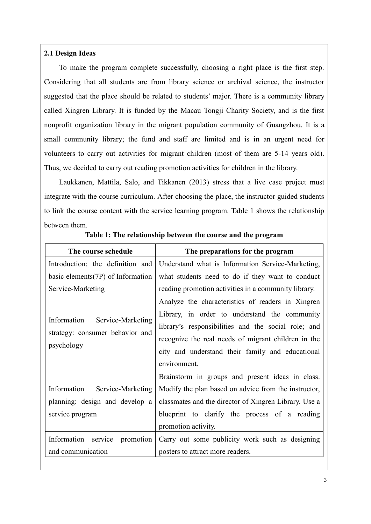#### **2.1 Design Ideas**

To make the program complete successfully, choosing a right place is the first step. Considering that all students are from library science or archival science, the instructor suggested that the place should be related to students' major. There is a community library called Xingren Library. It is funded by the Macau Tongji Charity Society, and is the first nonprofit organization library in the migrant population community of Guangzhou. It is a small community library; the fund and staff are limited and is in an urgent need for volunteers to carry out activities for migrant children (most of them are 5-14 years old). Thus, we decided to carry out reading promotion activities for children in the library.

Laukkanen, Mattila, Salo, and Tikkanen (2013) stress that a live case project must integrate with the course curriculum. After choosing the place, the instructor guided students to link the course content with the service learning program. Table 1 shows the relationship between them.

| The course schedule                                                            | The preparations for the program                                                                                                                                               |
|--------------------------------------------------------------------------------|--------------------------------------------------------------------------------------------------------------------------------------------------------------------------------|
| Introduction: the definition and                                               | Understand what is Information Service-Marketing,                                                                                                                              |
| basic elements(7P) of Information                                              | what students need to do if they want to conduct                                                                                                                               |
| Service-Marketing                                                              | reading promotion activities in a community library.                                                                                                                           |
|                                                                                | Analyze the characteristics of readers in Xingren<br>Library, in order to understand the community                                                                             |
| Information Service-Marketing<br>strategy: consumer behavior and<br>psychology | library's responsibilities and the social role; and<br>recognize the real needs of migrant children in the<br>city and understand their family and educational<br>environment. |
|                                                                                | Brainstorm in groups and present ideas in class.                                                                                                                               |
| Information Service-Marketing                                                  | Modify the plan based on advice from the instructor,                                                                                                                           |
| planning: design and develop a                                                 | classmates and the director of Xingren Library. Use a                                                                                                                          |
| service program                                                                | blueprint to clarify the process of a reading                                                                                                                                  |
|                                                                                | promotion activity.                                                                                                                                                            |
| Information service<br>promotion                                               | Carry out some publicity work such as designing                                                                                                                                |
| and communication                                                              | posters to attract more readers.                                                                                                                                               |

#### **Table 1: The relationship between the course and the program**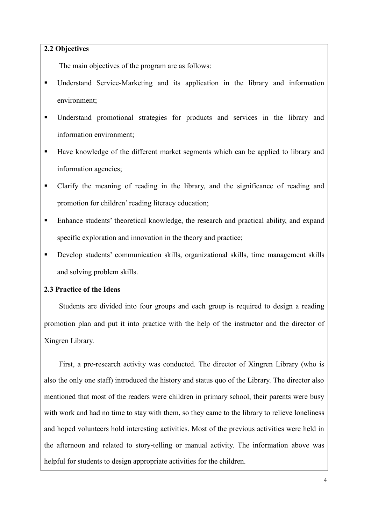#### **2.2 Objectives**

The main objectives of the program are as follows:

- Understand Service-Marketing and its application in the library and information environment;
- Understand promotional strategies for products and services in the library and information environment;
- Have knowledge of the different market segments which can be applied to library and information agencies;
- Clarify the meaning of reading in the library, and the significance of reading and promotion for children' reading literacy education;
- Enhance students' theoretical knowledge, the research and practical ability, and expand specific exploration and innovation in the theory and practice;
- **•** Develop students' communication skills, organizational skills, time management skills and solving problem skills.

### **2.3 Practice of the Ideas**

Students are divided into four groups and each group is required to design a reading promotion plan and put it into practice with the help of the instructor and the director of Xingren Library.

First, a pre-research activity was conducted. The director of Xingren Library (who is also the only one staff) introduced the history and status quo of the Library. The director also mentioned that most of the readers were children in primary school, their parents were busy with work and had no time to stay with them, so they came to the library to relieve loneliness and hoped volunteers hold interesting activities. Most of the previous activities were held in the afternoon and related to story-telling or manual activity. The information above was helpful for students to design appropriate activities for the children.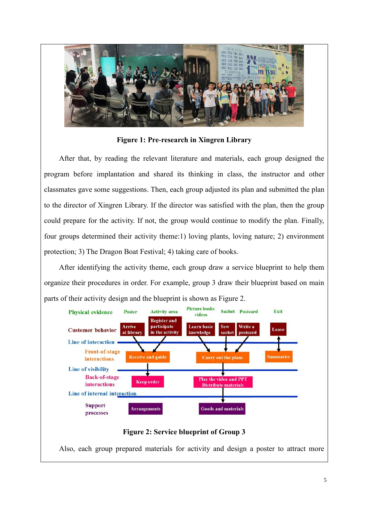

**Figure 1: Pre-research in Xingren Library**

After that, by reading the relevant literature and materials, each group designed the program before implantation and shared its thinking in class, the instructor and other classmates gave some suggestions. Then, each group adjusted its plan and submitted the plan to the director of Xingren Library. If the director was satisfied with the plan, then the group could prepare for the activity. If not, the group would continue to modify the plan. Finally, four groups determined their activity theme:1) loving plants, loving nature; 2) environment protection; 3) The Dragon Boat Festival; 4) taking care of books.

After identifying the activity theme, each group draw a service blueprint to help them organize their procedures in order. For example, group 3 draw their blueprint based on main parts of their activity design and the blueprint is shown as Figure 2.



### **Figure 2: Service blueprint of Group 3**

Also, each group prepared materials for activity and design a poster to attract more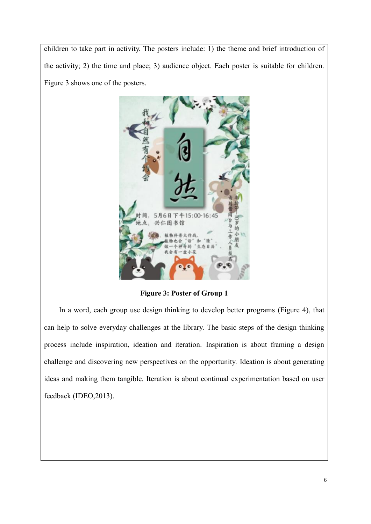children to take part in activity. The posters include: 1) the theme and brief introduction of the activity; 2) the time and place; 3) audience object. Each poster is suitable for children. Figure 3 shows one of the posters.



**Figure 3: Poster of Group 1**

In a word, each group use design thinking to develop better programs (Figure 4), that can help to solve everyday challenges at the library. The basic steps of the design thinking process include inspiration, ideation and iteration. Inspiration is about framing a design challenge and discovering new perspectives on the opportunity. Ideation is about generating ideas and making them tangible. Iteration is about continual experimentation based on user feedback (IDEO,2013).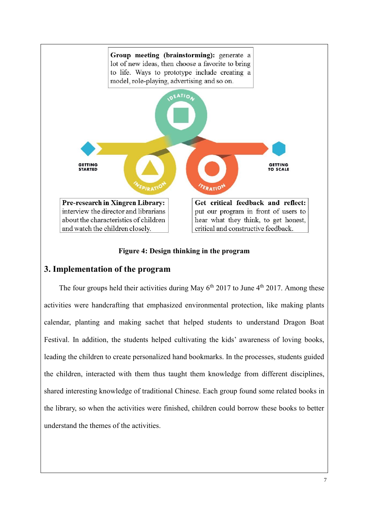

**Figure 4: Design thinking in the program**

### **3. Implementation of the program**

The four groups held their activities during May  $6<sup>th</sup> 2017$  to June  $4<sup>th</sup> 2017$ . Among these activities were handcrafting that emphasized environmental protection, like making plants calendar, planting and making sachet that helped students to understand Dragon Boat Festival. In addition, the students helped cultivating the kids' awareness of loving books, leading the children to create personalized hand bookmarks. In the processes, students guided the children, interacted with them thus taught them knowledge from different disciplines, shared interesting knowledge of traditional Chinese. Each group found some related books in the library, so when the activities were finished, children could borrow these books to better understand the themes of the activities.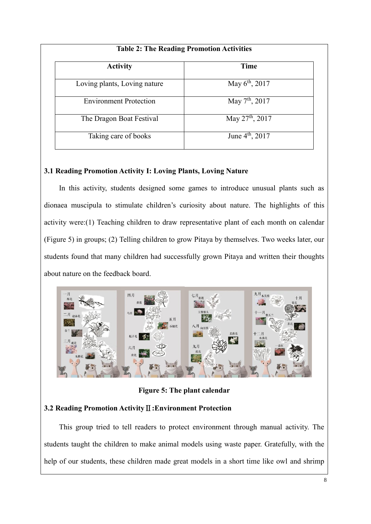| <b>Table 2: The Reading Promotion Activities</b> |  |
|--------------------------------------------------|--|
| Time                                             |  |
| May $6^{\text{th}}$ , 2017                       |  |
| May $7th$ , 2017                                 |  |
| May $27^{\text{th}}$ , 2017                      |  |
| June 4 <sup>th</sup> , 2017                      |  |
|                                                  |  |

### **3.1 Reading Promotion Activity I: Loving Plants, Loving Nature**

In this activity, students designed some games to introduce unusual plants such as dionaea muscipula to stimulate children's curiosity about nature. The highlights of this activity were:(1) Teaching children to draw representative plant of each month on calendar (Figure 5) in groups; (2) Telling children to grow Pitaya by themselves. Two weeks later, our students found that many children had successfully grown Pitaya and written their thoughts about nature on the feedback board.



**Figure 5: The plant calendar**

# **3.2 Reading Promotion Activity**Ⅱ**:Environment Protection**

This group tried to tell readers to protect environment through manual activity. The students taught the children to make animal models using waste paper. Gratefully, with the help of our students, these children made great models in a short time like owl and shrimp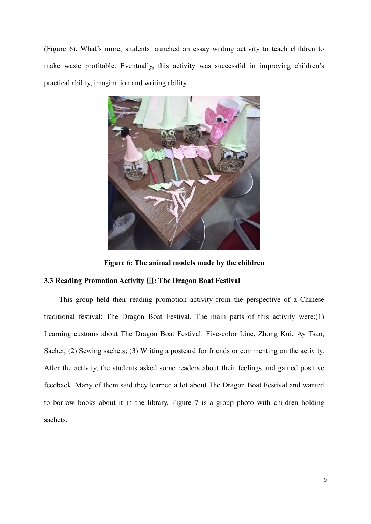(Figure 6). What's more, students launched an essay writing activity to teach children to make waste profitable. Eventually, this activity was successful in improving children's practical ability, imagination and writing ability.



**Figure 6: The animal models made by the children**

### **3.3 Reading Promotion Activity** Ⅲ**: The Dragon Boat Festival**

This group held their reading promotion activity from the perspective of a Chinese traditional festival: The Dragon Boat Festival. The main parts of this activity were:(1) Learning customs about The Dragon Boat Festival: Five-color Line, Zhong Kui, Ay Tsao, Sachet; (2) Sewing sachets; (3) Writing a postcard for friends or commenting on the activity. After the activity, the students asked some readers about their feelings and gained positive feedback. Many of them said they learned a lot about The Dragon Boat Festival and wanted to borrow books about it in the library. Figure 7 is a group photo with children holding sachets.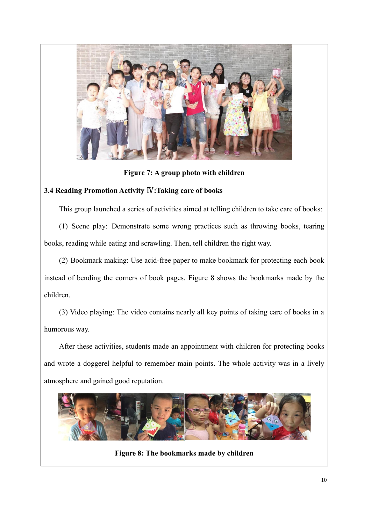

**Figure 7: A group photo with children**

### **3.4 Reading Promotion Activity** Ⅳ**:Taking care of books**

This group launched a series of activities aimed at telling children to take care of books:

(1) Scene play: Demonstrate some wrong practices such as throwing books, tearing books, reading while eating and scrawling. Then, tell children the right way.

(2) Bookmark making: Use acid-free paper to make bookmark for protecting each book instead of bending the corners of book pages. Figure 8 shows the bookmarks made by the children.

(3) Video playing: The video contains nearly all key points of taking care of books in a humorous way.

After these activities, students made an appointment with children for protecting books and wrote a doggerel helpful to remember main points. The whole activity was in a lively atmosphere and gained good reputation.



**Figure 8: The bookmarks made by children**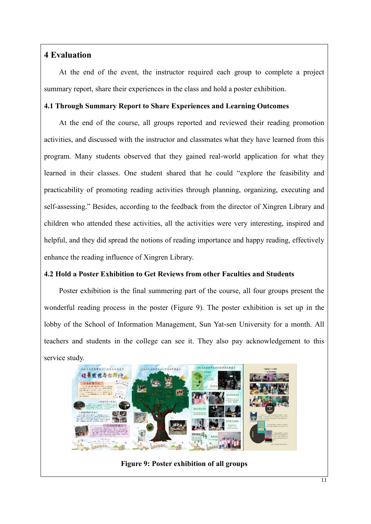# **4 Evaluation**

At the end of the event, the instructor required each group to complete a project summary report, share their experiences in the class and hold a poster exhibition.

### **4.1 Through Summary Report to Share Experiences and Learning Outcomes**

At the end of the course, all groups reported and reviewed their reading promotion activities, and discussed with the instructor and classmates what they have learned from this program. Many students observed that they gained real-world application for what they learned in their classes. One student shared that he could "explore the feasibility and practicability of promoting reading activities through planning, organizing, executing and self-assessing." Besides, according to the feedback from the director of Xingren Library and children who attended these activities, all the activities were very interesting, inspired and helpful, and they did spread the notions of reading importance and happy reading, effectively enhance the reading influence of Xingren Library.

### **4.2 Hold a Poster Exhibition to Get Reviews from other Faculties and Students**

Poster exhibition is the final summering part of the course, all four groups present the wonderful reading process in the poster (Figure 9). The poster exhibition is set up in the lobby of the School of Information Management, Sun Yat-sen University for a month. All teachers and students in the college can see it. They also pay acknowledgement to this service study.



**Figure 9: Poster exhibition of all groups**